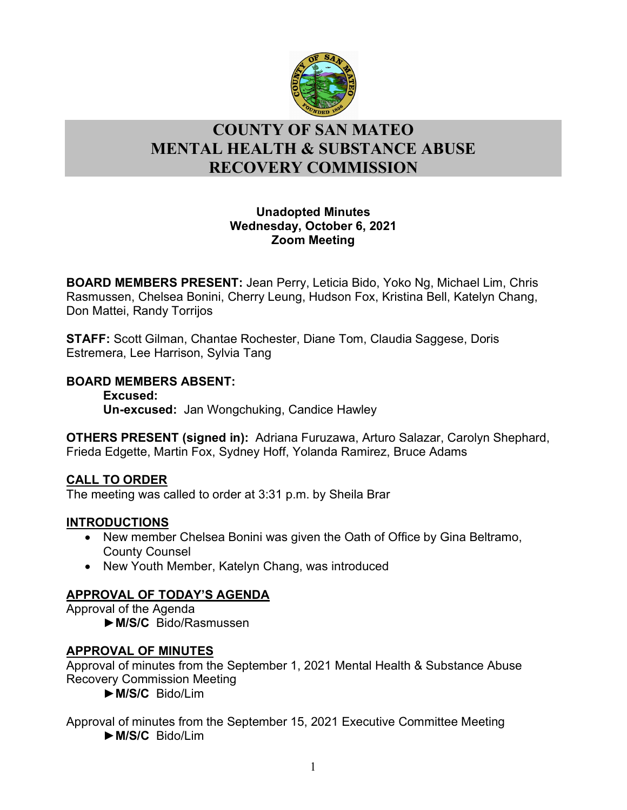

# l **COUNTY OF SAN MATEO MENTAL HEALTH & SUBSTANCE ABUSE RECOVERY COMMISSION**

## **Unadopted Minutes Wednesday, October 6, 2021 Zoom Meeting**

**BOARD MEMBERS PRESENT:** Jean Perry, Leticia Bido, Yoko Ng, Michael Lim, Chris Rasmussen, Chelsea Bonini, Cherry Leung, Hudson Fox, Kristina Bell, Katelyn Chang, Don Mattei, Randy Torrijos

**STAFF:** Scott Gilman, Chantae Rochester, Diane Tom, Claudia Saggese, Doris Estremera, Lee Harrison, Sylvia Tang

## **BOARD MEMBERS ABSENT:**

**Excused: Un-excused:** Jan Wongchuking, Candice Hawley

**OTHERS PRESENT (signed in):** Adriana Furuzawa, Arturo Salazar, Carolyn Shephard, Frieda Edgette, Martin Fox, Sydney Hoff, Yolanda Ramirez, Bruce Adams

## **CALL TO ORDER**

The meeting was called to order at 3:31 p.m. by Sheila Brar

## **INTRODUCTIONS**

- New member Chelsea Bonini was given the Oath of Office by Gina Beltramo, County Counsel
- New Youth Member, Katelyn Chang, was introduced

## **APPROVAL OF TODAY'S AGENDA**

Approval of the Agenda

►**M/S/C** Bido/Rasmussen

## **APPROVAL OF MINUTES**

Approval of minutes from the September 1, 2021 Mental Health & Substance Abuse Recovery Commission Meeting

►**M/S/C** Bido/Lim

Approval of minutes from the September 15, 2021 Executive Committee Meeting ►**M/S/C** Bido/Lim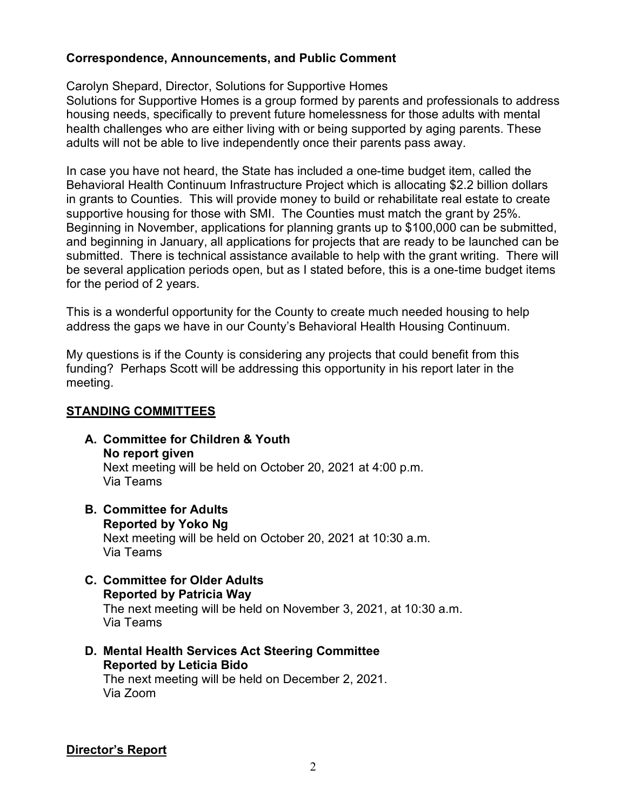## **Correspondence, Announcements, and Public Comment**

Carolyn Shepard, Director, Solutions for Supportive Homes

Solutions for Supportive Homes is a group formed by parents and professionals to address housing needs, specifically to prevent future homelessness for those adults with mental health challenges who are either living with or being supported by aging parents. These adults will not be able to live independently once their parents pass away.

In case you have not heard, the State has included a one-time budget item, called the Behavioral Health Continuum Infrastructure Project which is allocating \$2.2 billion dollars in grants to Counties. This will provide money to build or rehabilitate real estate to create supportive housing for those with SMI. The Counties must match the grant by 25%. Beginning in November, applications for planning grants up to \$100,000 can be submitted, and beginning in January, all applications for projects that are ready to be launched can be submitted. There is technical assistance available to help with the grant writing. There will be several application periods open, but as I stated before, this is a one-time budget items for the period of 2 years.

This is a wonderful opportunity for the County to create much needed housing to help address the gaps we have in our County's Behavioral Health Housing Continuum.

My questions is if the County is considering any projects that could benefit from this funding? Perhaps Scott will be addressing this opportunity in his report later in the meeting.

## **STANDING COMMITTEES**

- **A. Committee for Children & Youth No report given** Next meeting will be held on October 20, 2021 at 4:00 p.m. Via Teams
- **B. Committee for Adults Reported by Yoko Ng** Next meeting will be held on October 20, 2021 at 10:30 a.m. Via Teams
- **C. Committee for Older Adults Reported by Patricia Way** The next meeting will be held on November 3, 2021, at 10:30 a.m. Via Teams
- **D. Mental Health Services Act Steering Committee Reported by Leticia Bido** The next meeting will be held on December 2, 2021. Via Zoom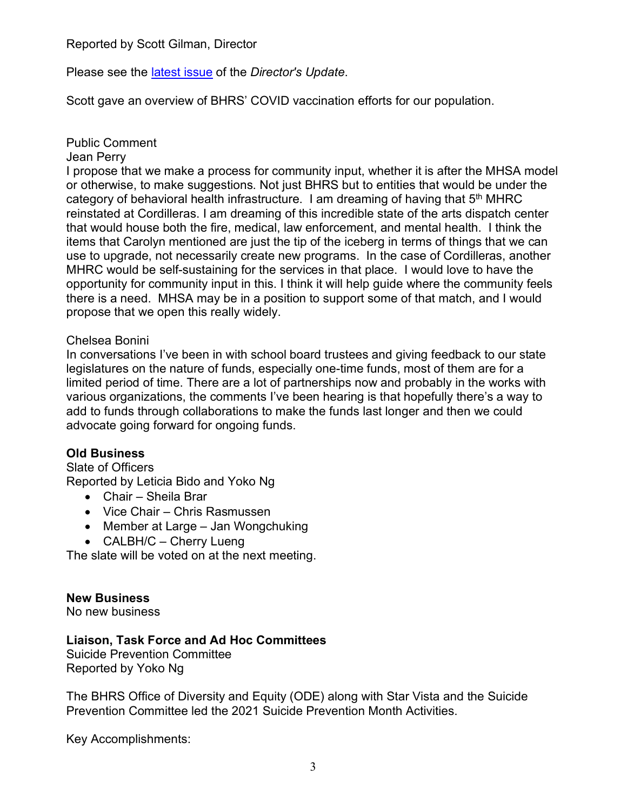Reported by Scott Gilman, Director

Please see the [latest issue](https://www.smchealth.org/sites/main/files/file-attachments/directors_update_202110.pdf?1632937925) of the *Director's Update*.

Scott gave an overview of BHRS' COVID vaccination efforts for our population.

Public Comment

### Jean Perry

I propose that we make a process for community input, whether it is after the MHSA model or otherwise, to make suggestions. Not just BHRS but to entities that would be under the category of behavioral health infrastructure. I am dreaming of having that  $5<sup>th</sup>$  MHRC reinstated at Cordilleras. I am dreaming of this incredible state of the arts dispatch center that would house both the fire, medical, law enforcement, and mental health. I think the items that Carolyn mentioned are just the tip of the iceberg in terms of things that we can use to upgrade, not necessarily create new programs. In the case of Cordilleras, another MHRC would be self-sustaining for the services in that place. I would love to have the opportunity for community input in this. I think it will help guide where the community feels there is a need. MHSA may be in a position to support some of that match, and I would propose that we open this really widely.

### Chelsea Bonini

In conversations I've been in with school board trustees and giving feedback to our state legislatures on the nature of funds, especially one-time funds, most of them are for a limited period of time. There are a lot of partnerships now and probably in the works with various organizations, the comments I've been hearing is that hopefully there's a way to add to funds through collaborations to make the funds last longer and then we could advocate going forward for ongoing funds.

## **Old Business**

Slate of Officers Reported by Leticia Bido and Yoko Ng

- Chair Sheila Brar
- Vice Chair Chris Rasmussen
- Member at Large Jan Wongchuking
- CALBH/C Cherry Lueng

The slate will be voted on at the next meeting.

### **New Business**

No new business

## **Liaison, Task Force and Ad Hoc Committees**

Suicide Prevention Committee Reported by Yoko Ng

The BHRS Office of Diversity and Equity (ODE) along with Star Vista and the Suicide Prevention Committee led the 2021 Suicide Prevention Month Activities.

Key Accomplishments: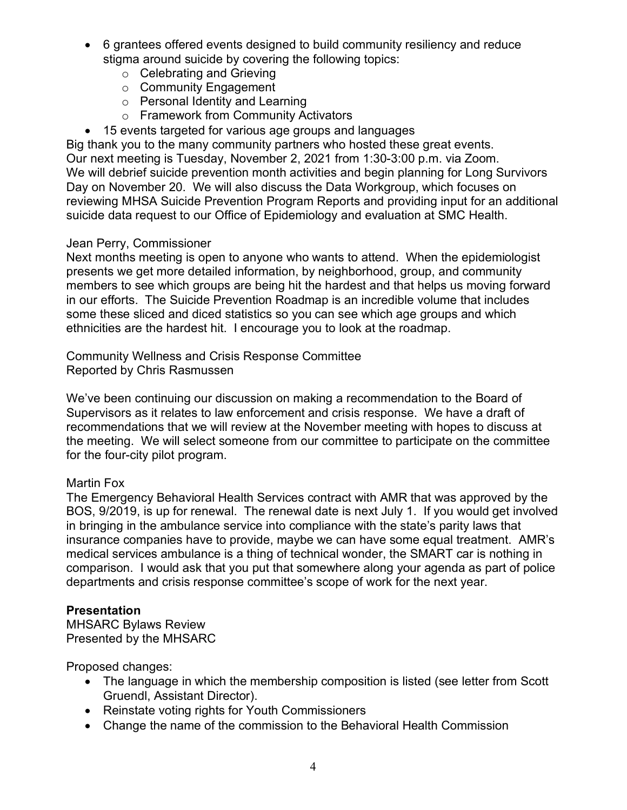- 6 grantees offered events designed to build community resiliency and reduce stigma around suicide by covering the following topics:
	- o Celebrating and Grieving
	- o Community Engagement
	- o Personal Identity and Learning
	- o Framework from Community Activators
- 15 events targeted for various age groups and languages

Big thank you to the many community partners who hosted these great events. Our next meeting is Tuesday, November 2, 2021 from 1:30-3:00 p.m. via Zoom. We will debrief suicide prevention month activities and begin planning for Long Survivors Day on November 20. We will also discuss the Data Workgroup, which focuses on reviewing MHSA Suicide Prevention Program Reports and providing input for an additional suicide data request to our Office of Epidemiology and evaluation at SMC Health.

### Jean Perry, Commissioner

Next months meeting is open to anyone who wants to attend. When the epidemiologist presents we get more detailed information, by neighborhood, group, and community members to see which groups are being hit the hardest and that helps us moving forward in our efforts. The Suicide Prevention Roadmap is an incredible volume that includes some these sliced and diced statistics so you can see which age groups and which ethnicities are the hardest hit. I encourage you to look at the roadmap.

Community Wellness and Crisis Response Committee Reported by Chris Rasmussen

We've been continuing our discussion on making a recommendation to the Board of Supervisors as it relates to law enforcement and crisis response. We have a draft of recommendations that we will review at the November meeting with hopes to discuss at the meeting. We will select someone from our committee to participate on the committee for the four-city pilot program.

### Martin Fox

The Emergency Behavioral Health Services contract with AMR that was approved by the BOS, 9/2019, is up for renewal. The renewal date is next July 1. If you would get involved in bringing in the ambulance service into compliance with the state's parity laws that insurance companies have to provide, maybe we can have some equal treatment. AMR's medical services ambulance is a thing of technical wonder, the SMART car is nothing in comparison. I would ask that you put that somewhere along your agenda as part of police departments and crisis response committee's scope of work for the next year.

### **Presentation**

MHSARC Bylaws Review Presented by the MHSARC

Proposed changes:

- The language in which the membership composition is listed (see letter from Scott Gruendl, Assistant Director).
- Reinstate voting rights for Youth Commissioners
- Change the name of the commission to the Behavioral Health Commission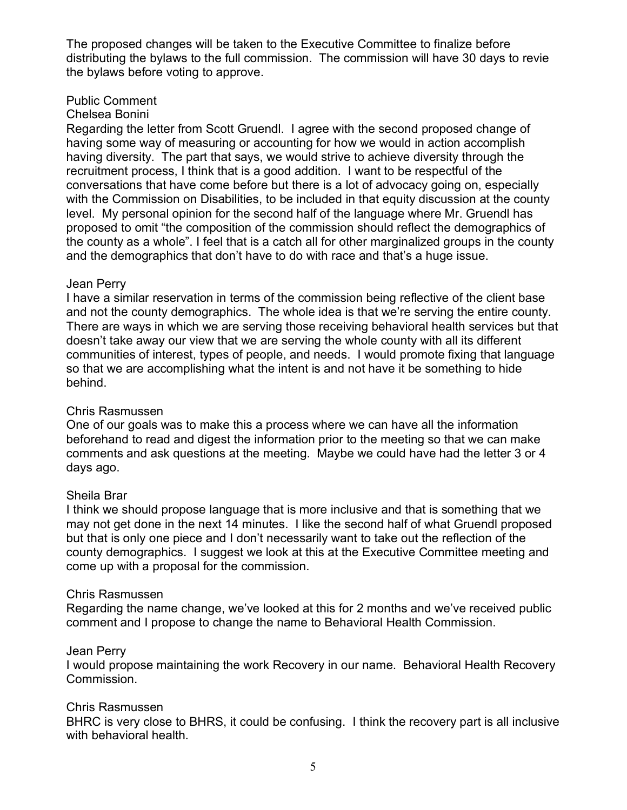The proposed changes will be taken to the Executive Committee to finalize before distributing the bylaws to the full commission. The commission will have 30 days to revie the bylaws before voting to approve.

### Public Comment

#### Chelsea Bonini

Regarding the letter from Scott Gruendl. I agree with the second proposed change of having some way of measuring or accounting for how we would in action accomplish having diversity. The part that says, we would strive to achieve diversity through the recruitment process, I think that is a good addition. I want to be respectful of the conversations that have come before but there is a lot of advocacy going on, especially with the Commission on Disabilities, to be included in that equity discussion at the county level. My personal opinion for the second half of the language where Mr. Gruendl has proposed to omit "the composition of the commission should reflect the demographics of the county as a whole". I feel that is a catch all for other marginalized groups in the county and the demographics that don't have to do with race and that's a huge issue.

#### Jean Perry

I have a similar reservation in terms of the commission being reflective of the client base and not the county demographics. The whole idea is that we're serving the entire county. There are ways in which we are serving those receiving behavioral health services but that doesn't take away our view that we are serving the whole county with all its different communities of interest, types of people, and needs. I would promote fixing that language so that we are accomplishing what the intent is and not have it be something to hide behind.

### Chris Rasmussen

One of our goals was to make this a process where we can have all the information beforehand to read and digest the information prior to the meeting so that we can make comments and ask questions at the meeting. Maybe we could have had the letter 3 or 4 days ago.

#### Sheila Brar

I think we should propose language that is more inclusive and that is something that we may not get done in the next 14 minutes. I like the second half of what Gruendl proposed but that is only one piece and I don't necessarily want to take out the reflection of the county demographics. I suggest we look at this at the Executive Committee meeting and come up with a proposal for the commission.

#### Chris Rasmussen

Regarding the name change, we've looked at this for 2 months and we've received public comment and I propose to change the name to Behavioral Health Commission.

#### Jean Perry

I would propose maintaining the work Recovery in our name. Behavioral Health Recovery Commission.

#### Chris Rasmussen

BHRC is very close to BHRS, it could be confusing. I think the recovery part is all inclusive with behavioral health.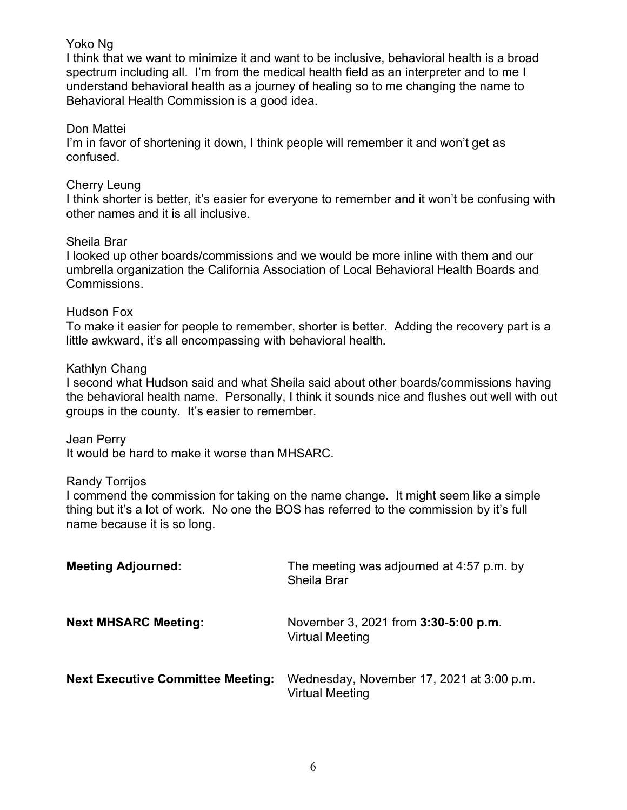### Yoko Ng

I think that we want to minimize it and want to be inclusive, behavioral health is a broad spectrum including all. I'm from the medical health field as an interpreter and to me I understand behavioral health as a journey of healing so to me changing the name to Behavioral Health Commission is a good idea.

## Don Mattei

I'm in favor of shortening it down, I think people will remember it and won't get as confused.

### Cherry Leung

I think shorter is better, it's easier for everyone to remember and it won't be confusing with other names and it is all inclusive.

### Sheila Brar

I looked up other boards/commissions and we would be more inline with them and our umbrella organization the California Association of Local Behavioral Health Boards and Commissions.

### Hudson Fox

To make it easier for people to remember, shorter is better. Adding the recovery part is a little awkward, it's all encompassing with behavioral health.

### Kathlyn Chang

I second what Hudson said and what Sheila said about other boards/commissions having the behavioral health name. Personally, I think it sounds nice and flushes out well with out groups in the county. It's easier to remember.

Jean Perry

It would be hard to make it worse than MHSARC.

### Randy Torrijos

I commend the commission for taking on the name change. It might seem like a simple thing but it's a lot of work. No one the BOS has referred to the commission by it's full name because it is so long.

| <b>Meeting Adjourned:</b>                | The meeting was adjourned at 4:57 p.m. by<br><b>Sheila Brar</b>       |
|------------------------------------------|-----------------------------------------------------------------------|
| <b>Next MHSARC Meeting:</b>              | November 3, 2021 from <b>3:30-5:00 p.m.</b><br><b>Virtual Meeting</b> |
| <b>Next Executive Committee Meeting:</b> | Wednesday, November 17, 2021 at 3:00 p.m.<br><b>Virtual Meeting</b>   |